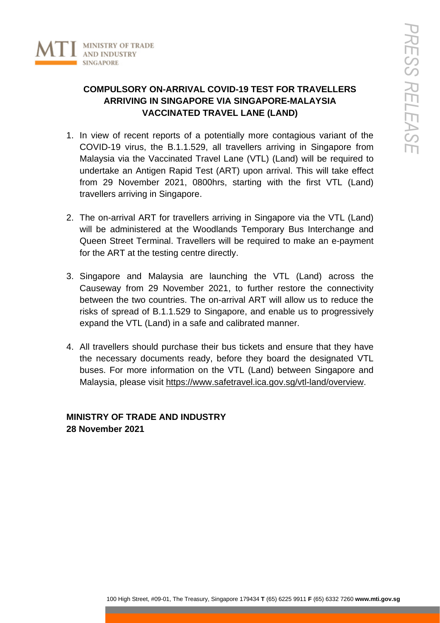

## **COMPULSORY ON-ARRIVAL COVID-19 TEST FOR TRAVELLERS ARRIVING IN SINGAPORE VIA SINGAPORE-MALAYSIA VACCINATED TRAVEL LANE (LAND)**

- 1. In view of recent reports of a potentially more contagious variant of the COVID-19 virus, the B.1.1.529, all travellers arriving in Singapore from Malaysia via the Vaccinated Travel Lane (VTL) (Land) will be required to undertake an Antigen Rapid Test (ART) upon arrival. This will take effect from 29 November 2021, 0800hrs, starting with the first VTL (Land) travellers arriving in Singapore.
- 2. The on-arrival ART for travellers arriving in Singapore via the VTL (Land) will be administered at the Woodlands Temporary Bus Interchange and Queen Street Terminal. Travellers will be required to make an e-payment for the ART at the testing centre directly.
- 3. Singapore and Malaysia are launching the VTL (Land) across the Causeway from 29 November 2021, to further restore the connectivity between the two countries. The on-arrival ART will allow us to reduce the risks of spread of B.1.1.529 to Singapore, and enable us to progressively expand the VTL (Land) in a safe and calibrated manner.
- 4. All travellers should purchase their bus tickets and ensure that they have the necessary documents ready, before they board the designated VTL buses. For more information on the VTL (Land) between Singapore and Malaysia, please visit [https://www.safetravel.ica.gov.sg/vtl-land/overview.](https://www.safetravel.ica.gov.sg/vtl-land/overview)

## **MINISTRY OF TRADE AND INDUSTRY 28 November 2021**